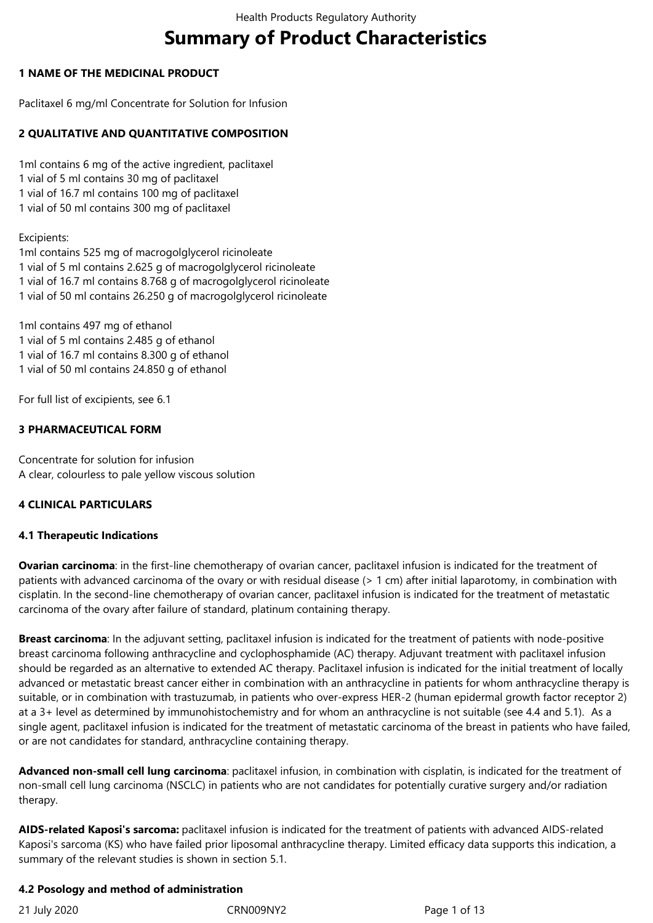# **Summary of Product Characteristics**

# **1 NAME OF THE MEDICINAL PRODUCT**

Paclitaxel 6 mg/ml Concentrate for Solution for Infusion

# **2 QUALITATIVE AND QUANTITATIVE COMPOSITION**

1ml contains 6 mg of the active ingredient, paclitaxel 1 vial of 5 ml contains 30 mg of paclitaxel 1 vial of 16.7 ml contains 100 mg of paclitaxel 1 vial of 50 ml contains 300 mg of paclitaxel

## Excipients:

1ml contains 525 mg of macrogolglycerol ricinoleate 1 vial of 5 ml contains 2.625 g of macrogolglycerol ricinoleate 1 vial of 16.7 ml contains 8.768 g of macrogolglycerol ricinoleate 1 vial of 50 ml contains 26.250 g of macrogolglycerol ricinoleate

1ml contains 497 mg of ethanol 1 vial of 5 ml contains 2.485 g of ethanol 1 vial of 16.7 ml contains 8.300 g of ethanol 1 vial of 50 ml contains 24.850 g of ethanol

For full list of excipients, see 6.1

# **3 PHARMACEUTICAL FORM**

Concentrate for solution for infusion A clear, colourless to pale yellow viscous solution

# **4 CLINICAL PARTICULARS**

# **4.1 Therapeutic Indications**

**Ovarian carcinoma**: in the first-line chemotherapy of ovarian cancer, paclitaxel infusion is indicated for the treatment of patients with advanced carcinoma of the ovary or with residual disease (> 1 cm) after initial laparotomy, in combination with cisplatin. In the second-line chemotherapy of ovarian cancer, paclitaxel infusion is indicated for the treatment of metastatic carcinoma of the ovary after failure of standard, platinum containing therapy.

**Breast carcinoma**: In the adjuvant setting, paclitaxel infusion is indicated for the treatment of patients with node-positive breast carcinoma following anthracycline and cyclophosphamide (AC) therapy. Adjuvant treatment with paclitaxel infusion should be regarded as an alternative to extended AC therapy. Paclitaxel infusion is indicated for the initial treatment of locally advanced or metastatic breast cancer either in combination with an anthracycline in patients for whom anthracycline therapy is suitable, or in combination with trastuzumab, in patients who over-express HER-2 (human epidermal growth factor receptor 2) at a 3+ level as determined by immunohistochemistry and for whom an anthracycline is not suitable (see 4.4 and 5.1). As a single agent, paclitaxel infusion is indicated for the treatment of metastatic carcinoma of the breast in patients who have failed, or are not candidates for standard, anthracycline containing therapy.

**Advanced non-small cell lung carcinoma**: paclitaxel infusion, in combination with cisplatin, is indicated for the treatment of non-small cell lung carcinoma (NSCLC) in patients who are not candidates for potentially curative surgery and/or radiation therapy.

**AIDS-related Kaposi's sarcoma:** paclitaxel infusion is indicated for the treatment of patients with advanced AIDS-related Kaposi's sarcoma (KS) who have failed prior liposomal anthracycline therapy. Limited efficacy data supports this indication, a summary of the relevant studies is shown in section 5.1.

#### **4.2 Posology and method of administration**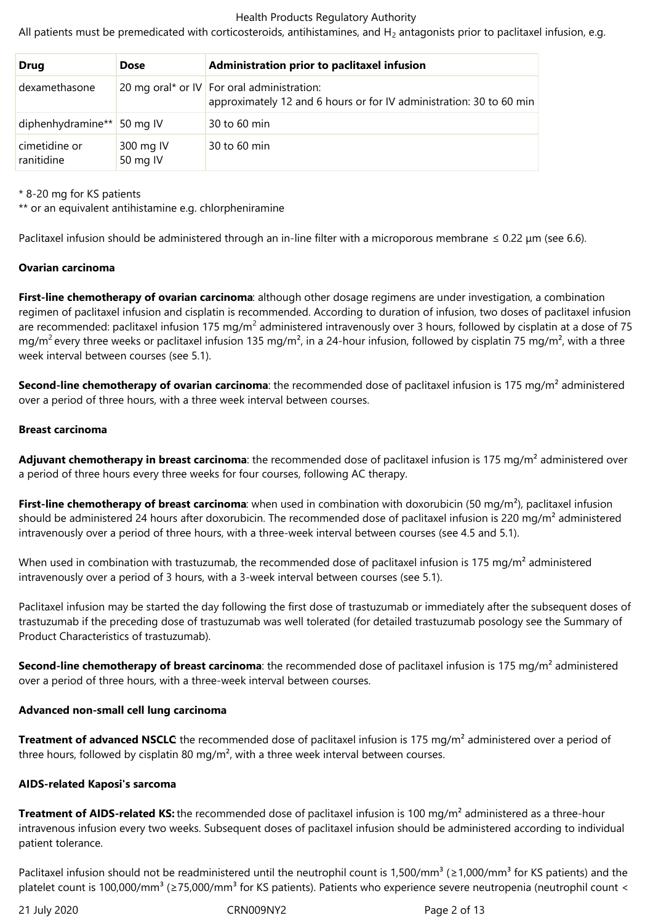All patients must be premedicated with corticosteroids, antihistamines, and  $H_2$  antagonists prior to paclitaxel infusion, e.g.

| <b>Drug</b>                 | <b>Dose</b>           | Administration prior to paclitaxel infusion                                                                         |
|-----------------------------|-----------------------|---------------------------------------------------------------------------------------------------------------------|
| dexamethasone               |                       | 20 mg oral* or IV   For oral administration:<br>approximately 12 and 6 hours or for IV administration: 30 to 60 min |
| diphenhydramine** 50 mg IV  |                       | 30 to 60 min                                                                                                        |
| cimetidine or<br>ranitidine | 300 mg IV<br>50 mg IV | 30 to 60 min                                                                                                        |

\* 8-20 mg for KS patients

\*\* or an equivalent antihistamine e.g. chlorpheniramine

Paclitaxel infusion should be administered through an in-line filter with a microporous membrane  $\leq 0.22$  µm (see 6.6).

#### **Ovarian carcinoma**

**First-line chemotherapy of ovarian carcinoma**: although other dosage regimens are under investigation, a combination regimen of paclitaxel infusion and cisplatin is recommended. According to duration of infusion, two doses of paclitaxel infusion are recommended: paclitaxel infusion 175 mg/m<sup>2</sup> administered intravenously over 3 hours, followed by cisplatin at a dose of 75 mg/m<sup>2</sup> every three weeks or paclitaxel infusion 135 mg/m<sup>2</sup>, in a 24-hour infusion, followed by cisplatin 75 mg/m<sup>2</sup>, with a three week interval between courses (see 5.1).

**Second-line chemotherapy of ovarian carcinoma**: the recommended dose of paclitaxel infusion is 175 mg/m<sup>2</sup> administered over a period of three hours, with a three week interval between courses.

#### **Breast carcinoma**

Adjuvant chemotherapy in breast carcinoma: the recommended dose of paclitaxel infusion is 175 mg/m<sup>2</sup> administered over a period of three hours every three weeks for four courses, following AC therapy.

**First-line chemotherapy of breast carcinoma**: when used in combination with doxorubicin (50 mg/m<sup>2</sup>), paclitaxel infusion should be administered 24 hours after doxorubicin. The recommended dose of paclitaxel infusion is 220 mg/m<sup>2</sup> administered intravenously over a period of three hours, with a three-week interval between courses (see 4.5 and 5.1).

When used in combination with trastuzumab, the recommended dose of paclitaxel infusion is 175 mg/m<sup>2</sup> administered intravenously over a period of 3 hours, with a 3-week interval between courses (see 5.1).

Paclitaxel infusion may be started the day following the first dose of trastuzumab or immediately after the subsequent doses of trastuzumab if the preceding dose of trastuzumab was well tolerated (for detailed trastuzumab posology see the Summary of Product Characteristics of trastuzumab).

**Second-line chemotherapy of breast carcinoma**: the recommended dose of paclitaxel infusion is 175 mg/m<sup>2</sup> administered over a period of three hours, with a three-week interval between courses.

#### **Advanced non-small cell lung carcinoma**

**Treatment of advanced NSCLC**: the recommended dose of paclitaxel infusion is 175 mg/m<sup>2</sup> administered over a period of three hours, followed by cisplatin 80 mg/m<sup>2</sup>, with a three week interval between courses.

#### **AIDS-related Kaposi's sarcoma**

**Treatment of AIDS-related KS:** the recommended dose of paclitaxel infusion is 100 mg/m<sup>2</sup> administered as a three-hour intravenous infusion every two weeks. Subsequent doses of paclitaxel infusion should be administered according to individual patient tolerance.

Paclitaxel infusion should not be readministered until the neutrophil count is 1,500/mm<sup>3</sup> (≥1,000/mm<sup>3</sup> for KS patients) and the platelet count is 100,000/mm<sup>3</sup> (≥75,000/mm<sup>3</sup> for KS patients). Patients who experience severe neutropenia (neutrophil count <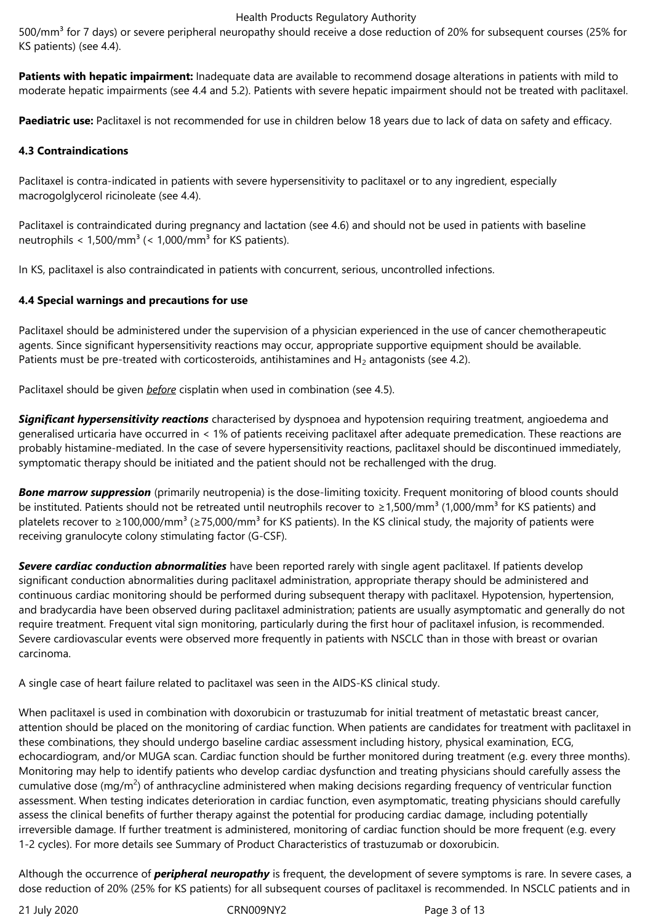500/mm<sup>3</sup> for 7 days) or severe peripheral neuropathy should receive a dose reduction of 20% for subsequent courses (25% for KS patients) (see 4.4).

**Patients with hepatic impairment:** Inadequate data are available to recommend dosage alterations in patients with mild to moderate hepatic impairments (see 4.4 and 5.2). Patients with severe hepatic impairment should not be treated with paclitaxel.

**Paediatric use:** Paclitaxel is not recommended for use in children below 18 years due to lack of data on safety and efficacy.

# **4.3 Contraindications**

Paclitaxel is contra-indicated in patients with severe hypersensitivity to paclitaxel or to any ingredient, especially macrogolglycerol ricinoleate (see 4.4).

Paclitaxel is contraindicated during pregnancy and lactation (see 4.6) and should not be used in patients with baseline neutrophils  $< 1.500/mm^3$  ( $< 1.000/mm^3$  for KS patients).

In KS, paclitaxel is also contraindicated in patients with concurrent, serious, uncontrolled infections.

# **4.4 Special warnings and precautions for use**

Paclitaxel should be administered under the supervision of a physician experienced in the use of cancer chemotherapeutic agents. Since significant hypersensitivity reactions may occur, appropriate supportive equipment should be available. Patients must be pre-treated with corticosteroids, antihistamines and  $H_2$  antagonists (see 4.2).

Paclitaxel should be given *before* cisplatin when used in combination (see 4.5).

*Significant hypersensitivity reactions* characterised by dyspnoea and hypotension requiring treatment, angioedema and generalised urticaria have occurred in < 1% of patients receiving paclitaxel after adequate premedication. These reactions are probably histamine-mediated. In the case of severe hypersensitivity reactions, paclitaxel should be discontinued immediately, symptomatic therapy should be initiated and the patient should not be rechallenged with the drug.

**Bone marrow suppression** (primarily neutropenia) is the dose-limiting toxicity. Frequent monitoring of blood counts should be instituted. Patients should not be retreated until neutrophils recover to  $\geq 1,500/mm^3$  (1,000/mm<sup>3</sup> for KS patients) and platelets recover to ≥100,000/mm<sup>3</sup> (≥75,000/mm<sup>3</sup> for KS patients). In the KS clinical study, the majority of patients were receiving granulocyte colony stimulating factor (G-CSF).

*Severe cardiac conduction abnormalities* have been reported rarely with single agent paclitaxel. If patients develop significant conduction abnormalities during paclitaxel administration, appropriate therapy should be administered and continuous cardiac monitoring should be performed during subsequent therapy with paclitaxel. Hypotension, hypertension, and bradycardia have been observed during paclitaxel administration; patients are usually asymptomatic and generally do not require treatment. Frequent vital sign monitoring, particularly during the first hour of paclitaxel infusion, is recommended. Severe cardiovascular events were observed more frequently in patients with NSCLC than in those with breast or ovarian carcinoma.

A single case of heart failure related to paclitaxel was seen in the AIDS-KS clinical study.

When paclitaxel is used in combination with doxorubicin or trastuzumab for initial treatment of metastatic breast cancer, attention should be placed on the monitoring of cardiac function. When patients are candidates for treatment with paclitaxel in these combinations, they should undergo baseline cardiac assessment including history, physical examination, ECG, echocardiogram, and/or MUGA scan. Cardiac function should be further monitored during treatment (e.g. every three months). Monitoring may help to identify patients who develop cardiac dysfunction and treating physicians should carefully assess the cumulative dose (mg/m<sup>2</sup>) of anthracycline administered when making decisions regarding frequency of ventricular function assessment. When testing indicates deterioration in cardiac function, even asymptomatic, treating physicians should carefully assess the clinical benefits of further therapy against the potential for producing cardiac damage, including potentially irreversible damage. If further treatment is administered, monitoring of cardiac function should be more frequent (e.g. every 1-2 cycles). For more details see Summary of Product Characteristics of trastuzumab or doxorubicin.

Although the occurrence of *peripheral neuropathy* is frequent, the development of severe symptoms is rare. In severe cases, a dose reduction of 20% (25% for KS patients) for all subsequent courses of paclitaxel is recommended. In NSCLC patients and in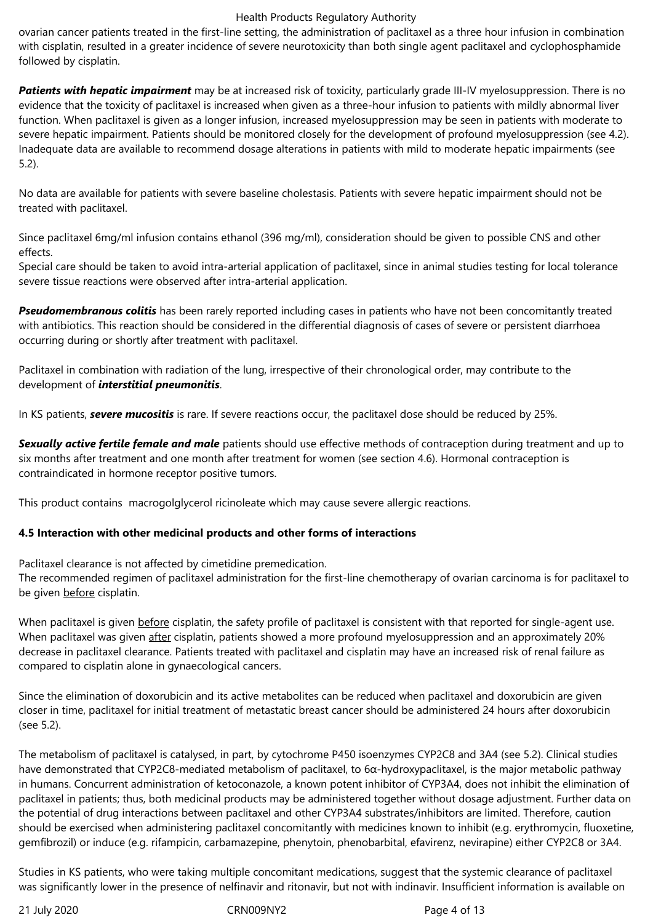ovarian cancer patients treated in the first-line setting, the administration of paclitaxel as a three hour infusion in combination with cisplatin, resulted in a greater incidence of severe neurotoxicity than both single agent paclitaxel and cyclophosphamide followed by cisplatin.

*Patients with hepatic impairment* may be at increased risk of toxicity, particularly grade III-IV myelosuppression. There is no evidence that the toxicity of paclitaxel is increased when given as a three-hour infusion to patients with mildly abnormal liver function. When paclitaxel is given as a longer infusion, increased myelosuppression may be seen in patients with moderate to severe hepatic impairment. Patients should be monitored closely for the development of profound myelosuppression (see 4.2). Inadequate data are available to recommend dosage alterations in patients with mild to moderate hepatic impairments (see 5.2).

No data are available for patients with severe baseline cholestasis. Patients with severe hepatic impairment should not be treated with paclitaxel.

Since paclitaxel 6mg/ml infusion contains ethanol (396 mg/ml), consideration should be given to possible CNS and other effects.

Special care should be taken to avoid intra-arterial application of paclitaxel, since in animal studies testing for local tolerance severe tissue reactions were observed after intra-arterial application.

*Pseudomembranous colitis* has been rarely reported including cases in patients who have not been concomitantly treated with antibiotics. This reaction should be considered in the differential diagnosis of cases of severe or persistent diarrhoea occurring during or shortly after treatment with paclitaxel.

Paclitaxel in combination with radiation of the lung, irrespective of their chronological order, may contribute to the development of *interstitial pneumonitis*.

In KS patients, *severe mucositis* is rare. If severe reactions occur, the paclitaxel dose should be reduced by 25%.

*Sexually active fertile female and male* patients should use effective methods of contraception during treatment and up to six months after treatment and one month after treatment for women (see section 4.6). Hormonal contraception is contraindicated in hormone receptor positive tumors.

This product contains macrogolglycerol ricinoleate which may cause severe allergic reactions.

# **4.5 Interaction with other medicinal products and other forms of interactions**

Paclitaxel clearance is not affected by cimetidine premedication.

The recommended regimen of paclitaxel administration for the first-line chemotherapy of ovarian carcinoma is for paclitaxel to be given before cisplatin.

When paclitaxel is given before cisplatin, the safety profile of paclitaxel is consistent with that reported for single-agent use. When paclitaxel was given after cisplatin, patients showed a more profound myelosuppression and an approximately 20% decrease in paclitaxel clearance. Patients treated with paclitaxel and cisplatin may have an increased risk of renal failure as compared to cisplatin alone in gynaecological cancers.

Since the elimination of doxorubicin and its active metabolites can be reduced when paclitaxel and doxorubicin are given closer in time, paclitaxel for initial treatment of metastatic breast cancer should be administered 24 hours after doxorubicin (see 5.2).

The metabolism of paclitaxel is catalysed, in part, by cytochrome P450 isoenzymes CYP2C8 and 3A4 (see 5.2). Clinical studies have demonstrated that CYP2C8-mediated metabolism of paclitaxel, to 6α-hydroxypaclitaxel, is the major metabolic pathway in humans. Concurrent administration of ketoconazole, a known potent inhibitor of CYP3A4, does not inhibit the elimination of paclitaxel in patients; thus, both medicinal products may be administered together without dosage adjustment. Further data on the potential of drug interactions between paclitaxel and other CYP3A4 substrates/inhibitors are limited. Therefore, caution should be exercised when administering paclitaxel concomitantly with medicines known to inhibit (e.g. erythromycin, fluoxetine, gemfibrozil) or induce (e.g. rifampicin, carbamazepine, phenytoin, phenobarbital, efavirenz, nevirapine) either CYP2C8 or 3A4.

Studies in KS patients, who were taking multiple concomitant medications, suggest that the systemic clearance of paclitaxel was significantly lower in the presence of nelfinavir and ritonavir, but not with indinavir. Insufficient information is available on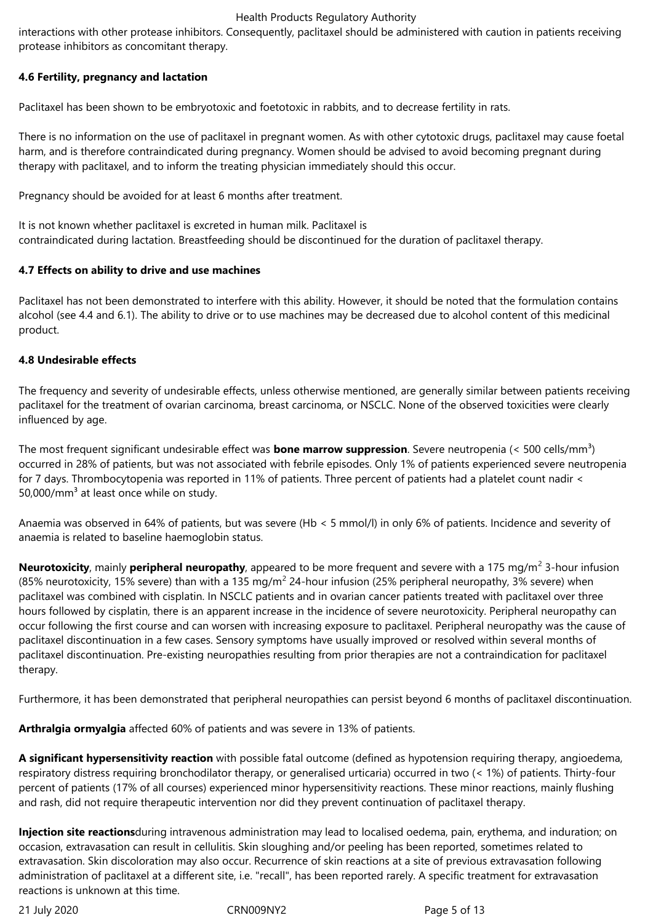interactions with other protease inhibitors. Consequently, paclitaxel should be administered with caution in patients receiving protease inhibitors as concomitant therapy.

## **4.6 Fertility, pregnancy and lactation**

Paclitaxel has been shown to be embryotoxic and foetotoxic in rabbits, and to decrease fertility in rats.

There is no information on the use of paclitaxel in pregnant women. As with other cytotoxic drugs, paclitaxel may cause foetal harm, and is therefore contraindicated during pregnancy. Women should be advised to avoid becoming pregnant during therapy with paclitaxel, and to inform the treating physician immediately should this occur.

Pregnancy should be avoided for at least 6 months after treatment.

It is not known whether paclitaxel is excreted in human milk. Paclitaxel is contraindicated during lactation. Breastfeeding should be discontinued for the duration of paclitaxel therapy.

## **4.7 Effects on ability to drive and use machines**

Paclitaxel has not been demonstrated to interfere with this ability. However, it should be noted that the formulation contains alcohol (see 4.4 and 6.1). The ability to drive or to use machines may be decreased due to alcohol content of this medicinal product.

## **4.8 Undesirable effects**

The frequency and severity of undesirable effects, unless otherwise mentioned, are generally similar between patients receiving paclitaxel for the treatment of ovarian carcinoma, breast carcinoma, or NSCLC. None of the observed toxicities were clearly influenced by age.

The most frequent significant undesirable effect was **bone marrow suppression**. Severe neutropenia (< 500 cells/mm<sup>3</sup>) occurred in 28% of patients, but was not associated with febrile episodes. Only 1% of patients experienced severe neutropenia for 7 days. Thrombocytopenia was reported in 11% of patients. Three percent of patients had a platelet count nadir < 50,000/mm $3$  at least once while on study.

Anaemia was observed in 64% of patients, but was severe (Hb < 5 mmol/l) in only 6% of patients. Incidence and severity of anaemia is related to baseline haemoglobin status.

**Neurotoxicity**, mainly **peripheral neuropathy**, appeared to be more frequent and severe with a 175 mg/m<sup>2</sup> 3-hour infusion (85% neurotoxicity, 15% severe) than with a 135 mg/m<sup>2</sup> 24-hour infusion (25% peripheral neuropathy, 3% severe) when paclitaxel was combined with cisplatin. In NSCLC patients and in ovarian cancer patients treated with paclitaxel over three hours followed by cisplatin, there is an apparent increase in the incidence of severe neurotoxicity. Peripheral neuropathy can occur following the first course and can worsen with increasing exposure to paclitaxel. Peripheral neuropathy was the cause of paclitaxel discontinuation in a few cases. Sensory symptoms have usually improved or resolved within several months of paclitaxel discontinuation. Pre-existing neuropathies resulting from prior therapies are not a contraindication for paclitaxel therapy.

Furthermore, it has been demonstrated that peripheral neuropathies can persist beyond 6 months of paclitaxel discontinuation.

**Arthralgia ormyalgia** affected 60% of patients and was severe in 13% of patients.

**A significant hypersensitivity reaction** with possible fatal outcome (defined as hypotension requiring therapy, angioedema, respiratory distress requiring bronchodilator therapy, or generalised urticaria) occurred in two (< 1%) of patients. Thirty-four percent of patients (17% of all courses) experienced minor hypersensitivity reactions. These minor reactions, mainly flushing and rash, did not require therapeutic intervention nor did they prevent continuation of paclitaxel therapy.

**Injection site reactions**during intravenous administration may lead to localised oedema, pain, erythema, and induration; on occasion, extravasation can result in cellulitis. Skin sloughing and/or peeling has been reported, sometimes related to extravasation. Skin discoloration may also occur. Recurrence of skin reactions at a site of previous extravasation following administration of paclitaxel at a different site, i.e. "recall", has been reported rarely. A specific treatment for extravasation reactions is unknown at this time.

21 July 2020 CRN009NY2 Page 5 of 13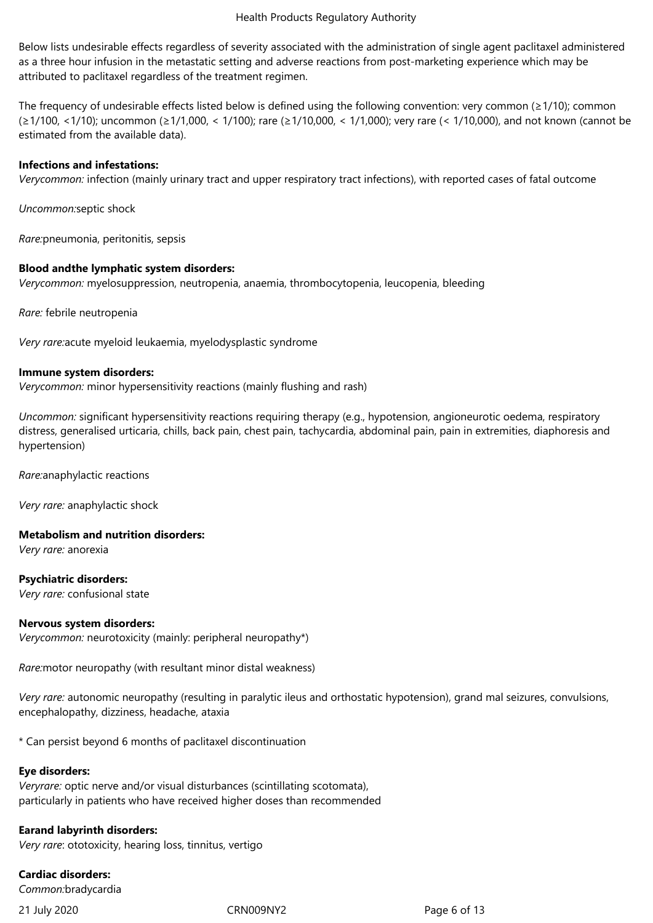Below lists undesirable effects regardless of severity associated with the administration of single agent paclitaxel administered as a three hour infusion in the metastatic setting and adverse reactions from post-marketing experience which may be attributed to paclitaxel regardless of the treatment regimen.

The frequency of undesirable effects listed below is defined using the following convention: very common ( $\geq 1/10$ ); common (≥1/100, <1/10); uncommon (≥1/1,000, < 1/100); rare (≥1/10,000, < 1/1,000); very rare (< 1/10,000), and not known (cannot be estimated from the available data).

#### **Infections and infestations:**

*Verycommon:* infection (mainly urinary tract and upper respiratory tract infections), with reported cases of fatal outcome

*Uncommon:*septic shock

*Rare:*pneumonia, peritonitis, sepsis

#### **Blood andthe lymphatic system disorders:**

*Verycommon:* myelosuppression, neutropenia, anaemia, thrombocytopenia, leucopenia, bleeding

*Rare:* febrile neutropenia

*Very rare:*acute myeloid leukaemia, myelodysplastic syndrome

#### **Immune system disorders:**

*Verycommon:* minor hypersensitivity reactions (mainly flushing and rash)

*Uncommon:* significant hypersensitivity reactions requiring therapy (e.g., hypotension, angioneurotic oedema, respiratory distress, generalised urticaria, chills, back pain, chest pain, tachycardia, abdominal pain, pain in extremities, diaphoresis and hypertension)

*Rare:*anaphylactic reactions

*Very rare:* anaphylactic shock

#### **Metabolism and nutrition disorders:**

*Very rare:* anorexia

**Psychiatric disorders:**

*Very rare:* confusional state

#### **Nervous system disorders:**

*Verycommon:* neurotoxicity (mainly: peripheral neuropathy\*)

*Rare:*motor neuropathy (with resultant minor distal weakness)

*Very rare:* autonomic neuropathy (resulting in paralytic ileus and orthostatic hypotension), grand mal seizures, convulsions, encephalopathy, dizziness, headache, ataxia

\* Can persist beyond 6 months of paclitaxel discontinuation

#### **Eye disorders:**

*Veryrare:* optic nerve and/or visual disturbances (scintillating scotomata), particularly in patients who have received higher doses than recommended

#### **Earand labyrinth disorders:**

*Very rare*: ototoxicity, hearing loss, tinnitus, vertigo

**Cardiac disorders:** *Common:*bradycardia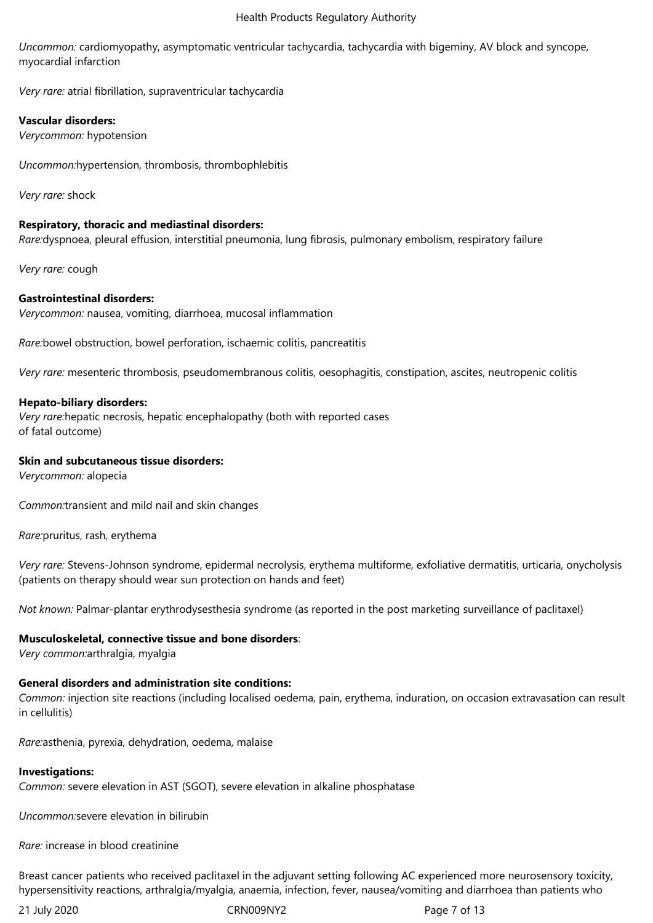*Uncommon:* cardiomyopathy, asymptomatic ventricular tachycardia, tachycardia with bigeminy, AV block and syncope, myocardial infarction

*Very rare:* atrial fibrillation, supraventricular tachycardia

## **Vascular disorders:**

*Verycommon:* hypotension

*Uncommon:*hypertension, thrombosis, thrombophlebitis

*Very rare:* shock

## **Respiratory, thoracic and mediastinal disorders:**

*Rare:*dyspnoea, pleural effusion, interstitial pneumonia, lung fibrosis, pulmonary embolism, respiratory failure

*Very rare:* cough

## **Gastrointestinal disorders:**

*Verycommon:* nausea, vomiting, diarrhoea, mucosal inflammation

*Rare:*bowel obstruction, bowel perforation, ischaemic colitis, pancreatitis

*Very rare:* mesenteric thrombosis, pseudomembranous colitis, oesophagitis, constipation, ascites, neutropenic colitis

## **Hepato-biliary disorders:**

*Very rare:*hepatic necrosis, hepatic encephalopathy (both with reported cases of fatal outcome)

## **Skin and subcutaneous tissue disorders:**

*Verycommon:* alopecia

*Common:*transient and mild nail and skin changes

*Rare:*pruritus, rash, erythema

*Very rare:* Stevens-Johnson syndrome, epidermal necrolysis, erythema multiforme, exfoliative dermatitis, urticaria, onycholysis (patients on therapy should wear sun protection on hands and feet)

*Not known:* Palmar-plantar erythrodysesthesia syndrome (as reported in the post marketing surveillance of paclitaxel)

# **Musculoskeletal, connective tissue and bone disorders**:

*Very common:*arthralgia, myalgia

# **General disorders and administration site conditions:**

*Common:* injection site reactions (including localised oedema, pain, erythema, induration, on occasion extravasation can result in cellulitis)

*Rare:*asthenia, pyrexia, dehydration, oedema, malaise

#### **Investigations:**

*Common:* severe elevation in AST (SGOT), severe elevation in alkaline phosphatase

*Uncommon:*severe elevation in bilirubin

*Rare:* increase in blood creatinine

Breast cancer patients who received paclitaxel in the adjuvant setting following AC experienced more neurosensory toxicity, hypersensitivity reactions, arthralgia/myalgia, anaemia, infection, fever, nausea/vomiting and diarrhoea than patients who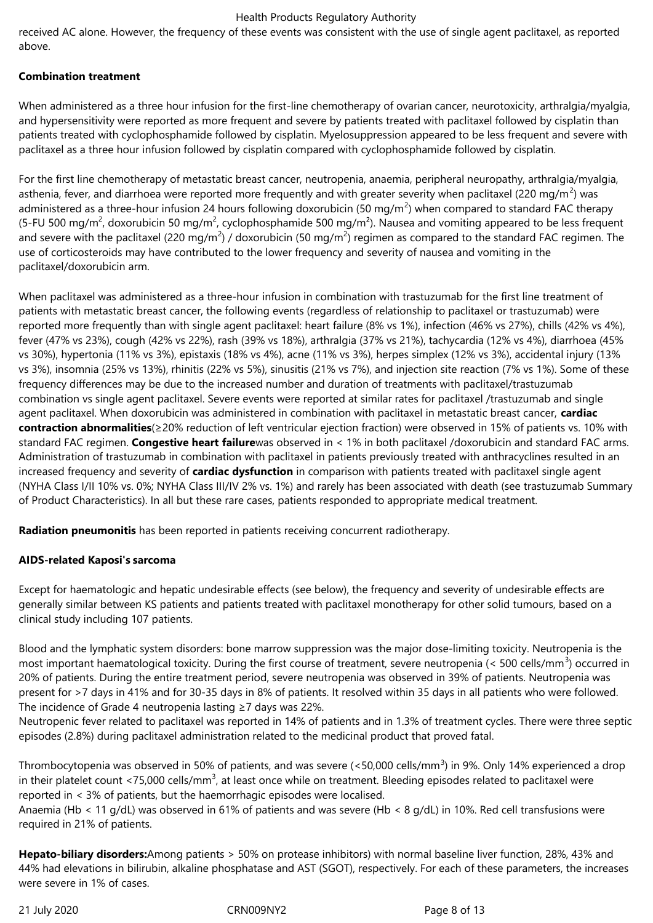received AC alone. However, the frequency of these events was consistent with the use of single agent paclitaxel, as reported above.

# **Combination treatment**

When administered as a three hour infusion for the first-line chemotherapy of ovarian cancer, neurotoxicity, arthralgia/myalgia, and hypersensitivity were reported as more frequent and severe by patients treated with paclitaxel followed by cisplatin than patients treated with cyclophosphamide followed by cisplatin. Myelosuppression appeared to be less frequent and severe with paclitaxel as a three hour infusion followed by cisplatin compared with cyclophosphamide followed by cisplatin.

For the first line chemotherapy of metastatic breast cancer, neutropenia, anaemia, peripheral neuropathy, arthralgia/myalgia, asthenia, fever, and diarrhoea were reported more frequently and with greater severity when paclitaxel (220 mg/m<sup>2</sup>) was administered as a three-hour infusion 24 hours following doxorubicin (50 mg/m<sup>2</sup>) when compared to standard FAC therapy (5-FU 500 mg/m<sup>2</sup>, doxorubicin 50 mg/m<sup>2</sup>, cyclophosphamide 500 mg/m<sup>2</sup>). Nausea and vomiting appeared to be less frequent and severe with the paclitaxel (220 mg/m<sup>2</sup>) / doxorubicin (50 mg/m<sup>2</sup>) regimen as compared to the standard FAC regimen. The use of corticosteroids may have contributed to the lower frequency and severity of nausea and vomiting in the paclitaxel/doxorubicin arm.

When paclitaxel was administered as a three-hour infusion in combination with trastuzumab for the first line treatment of patients with metastatic breast cancer, the following events (regardless of relationship to paclitaxel or trastuzumab) were reported more frequently than with single agent paclitaxel: heart failure (8% vs 1%), infection (46% vs 27%), chills (42% vs 4%), fever (47% vs 23%), cough (42% vs 22%), rash (39% vs 18%), arthralgia (37% vs 21%), tachycardia (12% vs 4%), diarrhoea (45% vs 30%), hypertonia (11% vs 3%), epistaxis (18% vs 4%), acne (11% vs 3%), herpes simplex (12% vs 3%), accidental injury (13% vs 3%), insomnia (25% vs 13%), rhinitis (22% vs 5%), sinusitis (21% vs 7%), and injection site reaction (7% vs 1%). Some of these frequency differences may be due to the increased number and duration of treatments with paclitaxel/trastuzumab combination vs single agent paclitaxel. Severe events were reported at similar rates for paclitaxel /trastuzumab and single agent paclitaxel. When doxorubicin was administered in combination with paclitaxel in metastatic breast cancer, **cardiac contraction abnormalities**(≥20% reduction of left ventricular ejection fraction) were observed in 15% of patients vs. 10% with standard FAC regimen. **Congestive heart failure**was observed in < 1% in both paclitaxel /doxorubicin and standard FAC arms. Administration of trastuzumab in combination with paclitaxel in patients previously treated with anthracyclines resulted in an increased frequency and severity of **cardiac dysfunction** in comparison with patients treated with paclitaxel single agent (NYHA Class I/II 10% vs. 0%; NYHA Class III/IV 2% vs. 1%) and rarely has been associated with death (see trastuzumab Summary of Product Characteristics). In all but these rare cases, patients responded to appropriate medical treatment.

**Radiation pneumonitis** has been reported in patients receiving concurrent radiotherapy.

#### **AIDS-related Kaposi's sarcoma**

Except for haematologic and hepatic undesirable effects (see below), the frequency and severity of undesirable effects are generally similar between KS patients and patients treated with paclitaxel monotherapy for other solid tumours, based on a clinical study including 107 patients.

Blood and the lymphatic system disorders: bone marrow suppression was the major dose-limiting toxicity. Neutropenia is the most important haematological toxicity. During the first course of treatment, severe neutropenia (< 500 cells/mm<sup>3</sup>) occurred in 20% of patients. During the entire treatment period, severe neutropenia was observed in 39% of patients. Neutropenia was present for >7 days in 41% and for 30-35 days in 8% of patients. It resolved within 35 days in all patients who were followed. The incidence of Grade 4 neutropenia lasting ≥7 days was 22%.

Neutropenic fever related to paclitaxel was reported in 14% of patients and in 1.3% of treatment cycles. There were three septic episodes (2.8%) during paclitaxel administration related to the medicinal product that proved fatal.

Thrombocytopenia was observed in 50% of patients, and was severe (<50,000 cells/mm<sup>3</sup>) in 9%. Only 14% experienced a drop in their platelet count <75,000 cells/mm<sup>3</sup>, at least once while on treatment. Bleeding episodes related to paclitaxel were reported in < 3% of patients, but the haemorrhagic episodes were localised.

Anaemia (Hb < 11 g/dL) was observed in 61% of patients and was severe (Hb < 8 g/dL) in 10%. Red cell transfusions were required in 21% of patients.

**Hepato-biliary disorders:**Among patients > 50% on protease inhibitors) with normal baseline liver function, 28%, 43% and 44% had elevations in bilirubin, alkaline phosphatase and AST (SGOT), respectively. For each of these parameters, the increases were severe in 1% of cases.

21 July 2020 CRN009NY2 Page 8 of 13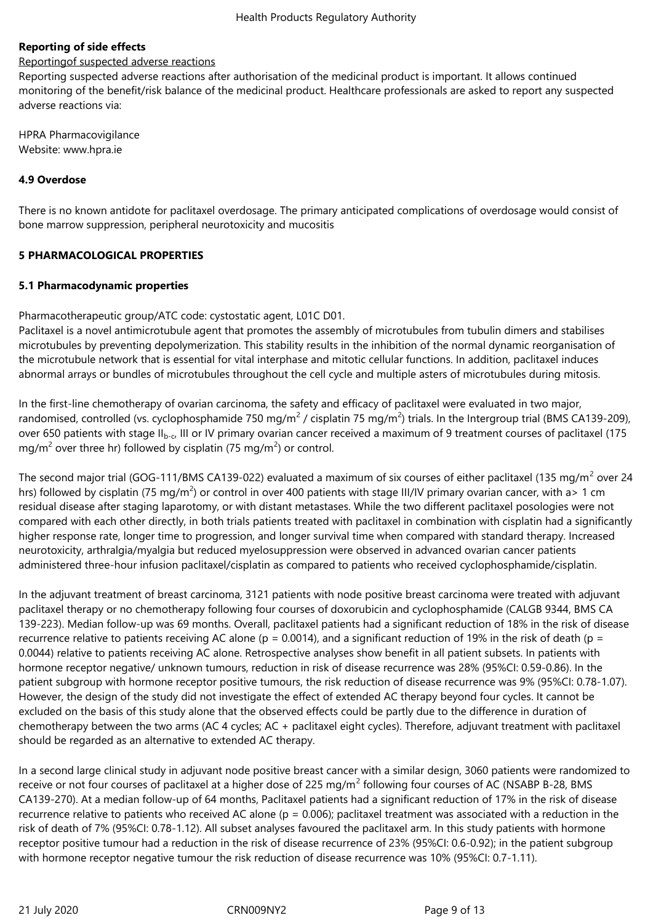# **Reporting of side effects**

# Reportingof suspected adverse reactions

Reporting suspected adverse reactions after authorisation of the medicinal product is important. It allows continued monitoring of the benefit/risk balance of the medicinal product. Healthcare professionals are asked to report any suspected adverse reactions via:

HPRA Pharmacovigilance Website: www.hpra.ie

## **4.9 Overdose**

There is no known antidote for paclitaxel overdosage. The primary anticipated complications of overdosage would consist of bone marrow suppression, peripheral neurotoxicity and mucositis

#### **5 PHARMACOLOGICAL PROPERTIES**

## **5.1 Pharmacodynamic properties**

Pharmacotherapeutic group/ATC code: cystostatic agent, L01C D01.

Paclitaxel is a novel antimicrotubule agent that promotes the assembly of microtubules from tubulin dimers and stabilises microtubules by preventing depolymerization. This stability results in the inhibition of the normal dynamic reorganisation of the microtubule network that is essential for vital interphase and mitotic cellular functions. In addition, paclitaxel induces abnormal arrays or bundles of microtubules throughout the cell cycle and multiple asters of microtubules during mitosis.

In the first-line chemotherapy of ovarian carcinoma, the safety and efficacy of paclitaxel were evaluated in two major, randomised, controlled (vs. cyclophosphamide 750 mg/m<sup>2</sup> / cisplatin 75 mg/m<sup>2</sup>) trials. In the Intergroup trial (BMS CA139-209), over 650 patients with stage II<sub>b-c</sub>, III or IV primary ovarian cancer received a maximum of 9 treatment courses of paclitaxel (175 mg/m<sup>2</sup> over three hr) followed by cisplatin (75 mg/m<sup>2</sup>) or control.

The second major trial (GOG-111/BMS CA139-022) evaluated a maximum of six courses of either paclitaxel (135 mg/m<sup>2</sup> over 24 hrs) followed by cisplatin (75 mg/m<sup>2</sup>) or control in over 400 patients with stage III/IV primary ovarian cancer, with a> 1 cm residual disease after staging laparotomy, or with distant metastases. While the two different paclitaxel posologies were not compared with each other directly, in both trials patients treated with paclitaxel in combination with cisplatin had a significantly higher response rate, longer time to progression, and longer survival time when compared with standard therapy. Increased neurotoxicity, arthralgia/myalgia but reduced myelosuppression were observed in advanced ovarian cancer patients administered three-hour infusion paclitaxel/cisplatin as compared to patients who received cyclophosphamide/cisplatin.

In the adjuvant treatment of breast carcinoma, 3121 patients with node positive breast carcinoma were treated with adjuvant paclitaxel therapy or no chemotherapy following four courses of doxorubicin and cyclophosphamide (CALGB 9344, BMS CA 139-223). Median follow-up was 69 months. Overall, paclitaxel patients had a significant reduction of 18% in the risk of disease recurrence relative to patients receiving AC alone ( $p = 0.0014$ ), and a significant reduction of 19% in the risk of death ( $p =$ 0.0044) relative to patients receiving AC alone. Retrospective analyses show benefit in all patient subsets. In patients with hormone receptor negative/ unknown tumours, reduction in risk of disease recurrence was 28% (95%CI: 0.59-0.86). In the patient subgroup with hormone receptor positive tumours, the risk reduction of disease recurrence was 9% (95%CI: 0.78-1.07). However, the design of the study did not investigate the effect of extended AC therapy beyond four cycles. It cannot be excluded on the basis of this study alone that the observed effects could be partly due to the difference in duration of chemotherapy between the two arms (AC 4 cycles; AC + paclitaxel eight cycles). Therefore, adjuvant treatment with paclitaxel should be regarded as an alternative to extended AC therapy.

In a second large clinical study in adjuvant node positive breast cancer with a similar design, 3060 patients were randomized to receive or not four courses of paclitaxel at a higher dose of 225 mg/m<sup>2</sup> following four courses of AC (NSABP B-28, BMS CA139-270). At a median follow-up of 64 months, Paclitaxel patients had a significant reduction of 17% in the risk of disease recurrence relative to patients who received AC alone ( $p = 0.006$ ); paclitaxel treatment was associated with a reduction in the risk of death of 7% (95%CI: 0.78-1.12). All subset analyses favoured the paclitaxel arm. In this study patients with hormone receptor positive tumour had a reduction in the risk of disease recurrence of 23% (95%CI: 0.6-0.92); in the patient subgroup with hormone receptor negative tumour the risk reduction of disease recurrence was 10% (95%CI: 0.7-1.11).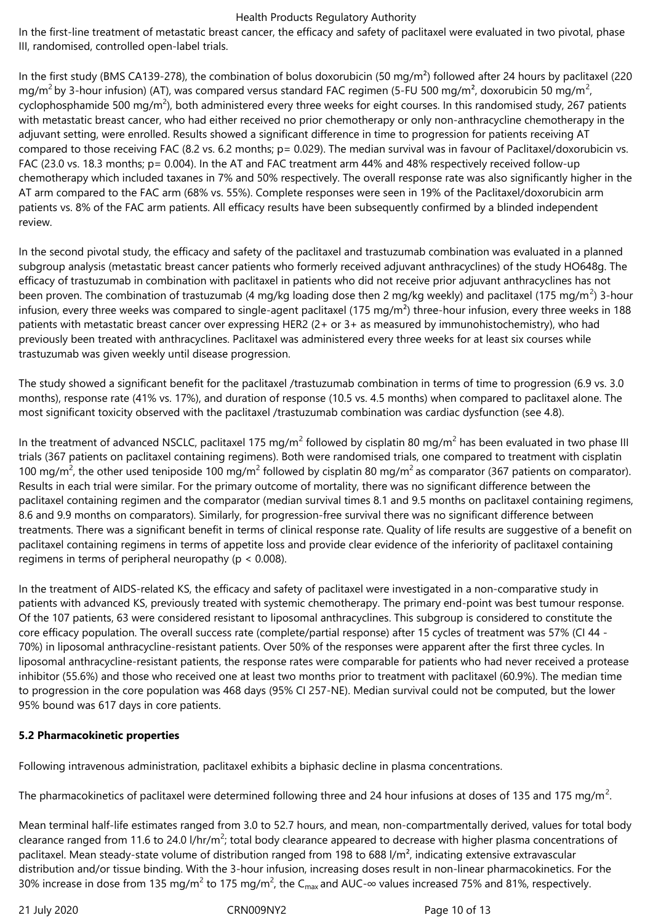In the first-line treatment of metastatic breast cancer, the efficacy and safety of paclitaxel were evaluated in two pivotal, phase III, randomised, controlled open-label trials.

In the first study (BMS CA139-278), the combination of bolus doxorubicin (50 mg/m<sup>2</sup>) followed after 24 hours by paclitaxel (220 mg/m<sup>2</sup> by 3-hour infusion) (AT), was compared versus standard FAC regimen (5-FU 500 mg/m<sup>2</sup>, doxorubicin 50 mg/m<sup>2</sup>, cyclophosphamide 500 mg/m<sup>2</sup>), both administered every three weeks for eight courses. In this randomised study, 267 patients with metastatic breast cancer, who had either received no prior chemotherapy or only non-anthracycline chemotherapy in the adjuvant setting, were enrolled. Results showed a significant difference in time to progression for patients receiving AT compared to those receiving FAC (8.2 vs. 6.2 months; p= 0.029). The median survival was in favour of Paclitaxel/doxorubicin vs. FAC (23.0 vs. 18.3 months; p= 0.004). In the AT and FAC treatment arm 44% and 48% respectively received follow-up chemotherapy which included taxanes in 7% and 50% respectively. The overall response rate was also significantly higher in the AT arm compared to the FAC arm (68% vs. 55%). Complete responses were seen in 19% of the Paclitaxel/doxorubicin arm patients vs. 8% of the FAC arm patients. All efficacy results have been subsequently confirmed by a blinded independent review.

In the second pivotal study, the efficacy and safety of the paclitaxel and trastuzumab combination was evaluated in a planned subgroup analysis (metastatic breast cancer patients who formerly received adjuvant anthracyclines) of the study HO648g. The efficacy of trastuzumab in combination with paclitaxel in patients who did not receive prior adjuvant anthracyclines has not been proven. The combination of trastuzumab (4 mg/kg loading dose then 2 mg/kg weekly) and paclitaxel (175 mg/m<sup>2</sup>) 3-hour infusion, every three weeks was compared to single-agent paclitaxel (175 mg/m<sup>2</sup>) three-hour infusion, every three weeks in 188 patients with metastatic breast cancer over expressing HER2 (2+ or 3+ as measured by immunohistochemistry), who had previously been treated with anthracyclines. Paclitaxel was administered every three weeks for at least six courses while trastuzumab was given weekly until disease progression.

The study showed a significant benefit for the paclitaxel /trastuzumab combination in terms of time to progression (6.9 vs. 3.0 months), response rate (41% vs. 17%), and duration of response (10.5 vs. 4.5 months) when compared to paclitaxel alone. The most significant toxicity observed with the paclitaxel /trastuzumab combination was cardiac dysfunction (see 4.8).

In the treatment of advanced NSCLC, paclitaxel 175 mg/m<sup>2</sup> followed by cisplatin 80 mg/m<sup>2</sup> has been evaluated in two phase III trials (367 patients on paclitaxel containing regimens). Both were randomised trials, one compared to treatment with cisplatin 100 mg/m<sup>2</sup>, the other used teniposide 100 mg/m<sup>2</sup> followed by cisplatin 80 mg/m<sup>2</sup> as comparator (367 patients on comparator). Results in each trial were similar. For the primary outcome of mortality, there was no significant difference between the paclitaxel containing regimen and the comparator (median survival times 8.1 and 9.5 months on paclitaxel containing regimens, 8.6 and 9.9 months on comparators). Similarly, for progression-free survival there was no significant difference between treatments. There was a significant benefit in terms of clinical response rate. Quality of life results are suggestive of a benefit on paclitaxel containing regimens in terms of appetite loss and provide clear evidence of the inferiority of paclitaxel containing regimens in terms of peripheral neuropathy ( $p < 0.008$ ).

In the treatment of AIDS-related KS, the efficacy and safety of paclitaxel were investigated in a non-comparative study in patients with advanced KS, previously treated with systemic chemotherapy. The primary end-point was best tumour response. Of the 107 patients, 63 were considered resistant to liposomal anthracyclines. This subgroup is considered to constitute the core efficacy population. The overall success rate (complete/partial response) after 15 cycles of treatment was 57% (CI 44 - 70%) in liposomal anthracycline-resistant patients. Over 50% of the responses were apparent after the first three cycles. In liposomal anthracycline-resistant patients, the response rates were comparable for patients who had never received a protease inhibitor (55.6%) and those who received one at least two months prior to treatment with paclitaxel (60.9%). The median time to progression in the core population was 468 days (95% CI 257-NE). Median survival could not be computed, but the lower 95% bound was 617 days in core patients.

# **5.2 Pharmacokinetic properties**

Following intravenous administration, paclitaxel exhibits a biphasic decline in plasma concentrations.

The pharmacokinetics of paclitaxel were determined following three and 24 hour infusions at doses of 135 and 175 mg/m<sup>2</sup>.

Mean terminal half-life estimates ranged from 3.0 to 52.7 hours, and mean, non-compartmentally derived, values for total body clearance ranged from 11.6 to 24.0 l/hr/m<sup>2</sup>; total body clearance appeared to decrease with higher plasma concentrations of paclitaxel. Mean steady-state volume of distribution ranged from 198 to 688 l/m², indicating extensive extravascular distribution and/or tissue binding. With the 3-hour infusion, increasing doses result in non-linear pharmacokinetics. For the 30% increase in dose from 135 mg/m<sup>2</sup> to 175 mg/m<sup>2</sup>, the C<sub>max</sub> and AUC-∞ values increased 75% and 81%, respectively.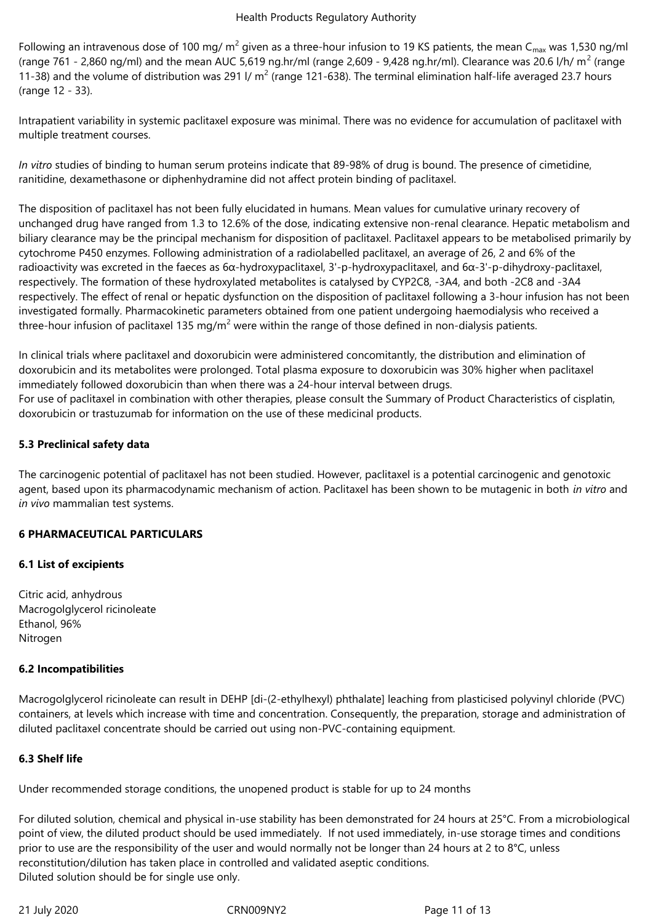Following an intravenous dose of 100 mg/ m<sup>2</sup> given as a three-hour infusion to 19 KS patients, the mean C<sub>max</sub> was 1,530 ng/ml (range 761 - 2,860 ng/ml) and the mean AUC 5,619 ng.hr/ml (range 2,609 - 9,428 ng.hr/ml). Clearance was 20.6 l/h/ m<sup>2</sup> (range 11-38) and the volume of distribution was 291 I/  $m^2$  (range 121-638). The terminal elimination half-life averaged 23.7 hours (range 12 - 33).

Intrapatient variability in systemic paclitaxel exposure was minimal. There was no evidence for accumulation of paclitaxel with multiple treatment courses.

*In vitro* studies of binding to human serum proteins indicate that 89-98% of drug is bound. The presence of cimetidine, ranitidine, dexamethasone or diphenhydramine did not affect protein binding of paclitaxel.

The disposition of paclitaxel has not been fully elucidated in humans. Mean values for cumulative urinary recovery of unchanged drug have ranged from 1.3 to 12.6% of the dose, indicating extensive non-renal clearance. Hepatic metabolism and biliary clearance may be the principal mechanism for disposition of paclitaxel. Paclitaxel appears to be metabolised primarily by cytochrome P450 enzymes. Following administration of a radiolabelled paclitaxel, an average of 26, 2 and 6% of the radioactivity was excreted in the faeces as 6α-hydroxypaclitaxel, 3'-p-hydroxypaclitaxel, and 6α-3'-p-dihydroxy-paclitaxel, respectively. The formation of these hydroxylated metabolites is catalysed by CYP2C8, -3A4, and both -2C8 and -3A4 respectively. The effect of renal or hepatic dysfunction on the disposition of paclitaxel following a 3-hour infusion has not been investigated formally. Pharmacokinetic parameters obtained from one patient undergoing haemodialysis who received a three-hour infusion of paclitaxel 135 mg/m<sup>2</sup> were within the range of those defined in non-dialysis patients.

In clinical trials where paclitaxel and doxorubicin were administered concomitantly, the distribution and elimination of doxorubicin and its metabolites were prolonged. Total plasma exposure to doxorubicin was 30% higher when paclitaxel immediately followed doxorubicin than when there was a 24-hour interval between drugs. For use of paclitaxel in combination with other therapies, please consult the Summary of Product Characteristics of cisplatin, doxorubicin or trastuzumab for information on the use of these medicinal products.

## **5.3 Preclinical safety data**

The carcinogenic potential of paclitaxel has not been studied. However, paclitaxel is a potential carcinogenic and genotoxic agent, based upon its pharmacodynamic mechanism of action. Paclitaxel has been shown to be mutagenic in both *in vitro* and *in vivo* mammalian test systems.

#### **6 PHARMACEUTICAL PARTICULARS**

#### **6.1 List of excipients**

Citric acid, anhydrous Macrogolglycerol ricinoleate Ethanol, 96% Nitrogen

#### **6.2 Incompatibilities**

Macrogolglycerol ricinoleate can result in DEHP [di-(2-ethylhexyl) phthalate] leaching from plasticised polyvinyl chloride (PVC) containers, at levels which increase with time and concentration. Consequently, the preparation, storage and administration of diluted paclitaxel concentrate should be carried out using non-PVC-containing equipment.

# **6.3 Shelf life**

Under recommended storage conditions, the unopened product is stable for up to 24 months

For diluted solution, chemical and physical in-use stability has been demonstrated for 24 hours at 25°C. From a microbiological point of view, the diluted product should be used immediately. If not used immediately, in-use storage times and conditions prior to use are the responsibility of the user and would normally not be longer than 24 hours at 2 to 8°C, unless reconstitution/dilution has taken place in controlled and validated aseptic conditions. Diluted solution should be for single use only.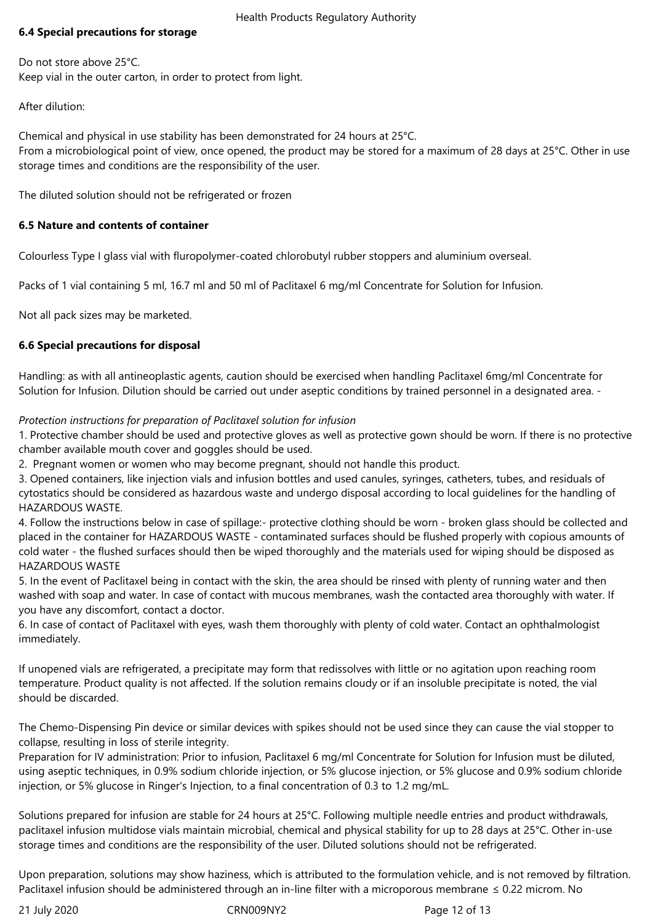# **6.4 Special precautions for storage**

Do not store above 25°C. Keep vial in the outer carton, in order to protect from light.

After dilution:

Chemical and physical in use stability has been demonstrated for 24 hours at 25°C. From a microbiological point of view, once opened, the product may be stored for a maximum of 28 days at 25°C. Other in use storage times and conditions are the responsibility of the user.

The diluted solution should not be refrigerated or frozen

# **6.5 Nature and contents of container**

Colourless Type I glass vial with fluropolymer-coated chlorobutyl rubber stoppers and aluminium overseal.

Packs of 1 vial containing 5 ml, 16.7 ml and 50 ml of Paclitaxel 6 mg/ml Concentrate for Solution for Infusion.

Not all pack sizes may be marketed.

## **6.6 Special precautions for disposal**

Handling: as with all antineoplastic agents, caution should be exercised when handling Paclitaxel 6mg/ml Concentrate for Solution for Infusion. Dilution should be carried out under aseptic conditions by trained personnel in a designated area. -

## *Protection instructions for preparation of Paclitaxel solution for infusion*

1. Protective chamber should be used and protective gloves as well as protective gown should be worn. If there is no protective chamber available mouth cover and goggles should be used.

2. Pregnant women or women who may become pregnant, should not handle this product.

3. Opened containers, like injection vials and infusion bottles and used canules, syringes, catheters, tubes, and residuals of cytostatics should be considered as hazardous waste and undergo disposal according to local guidelines for the handling of HAZARDOUS WASTE.

4. Follow the instructions below in case of spillage:- protective clothing should be worn - broken glass should be collected and placed in the container for HAZARDOUS WASTE - contaminated surfaces should be flushed properly with copious amounts of cold water - the flushed surfaces should then be wiped thoroughly and the materials used for wiping should be disposed as HAZARDOUS WASTE

5. In the event of Paclitaxel being in contact with the skin, the area should be rinsed with plenty of running water and then washed with soap and water. In case of contact with mucous membranes, wash the contacted area thoroughly with water. If you have any discomfort, contact a doctor.

6. In case of contact of Paclitaxel with eyes, wash them thoroughly with plenty of cold water. Contact an ophthalmologist immediately.

If unopened vials are refrigerated, a precipitate may form that redissolves with little or no agitation upon reaching room temperature. Product quality is not affected. If the solution remains cloudy or if an insoluble precipitate is noted, the vial should be discarded.

The Chemo-Dispensing Pin device or similar devices with spikes should not be used since they can cause the vial stopper to collapse, resulting in loss of sterile integrity.

Preparation for IV administration: Prior to infusion, Paclitaxel 6 mg/ml Concentrate for Solution for Infusion must be diluted, using aseptic techniques, in 0.9% sodium chloride injection, or 5% glucose injection, or 5% glucose and 0.9% sodium chloride injection, or 5% glucose in Ringer's Injection, to a final concentration of 0.3 to 1.2 mg/mL.

Solutions prepared for infusion are stable for 24 hours at 25°C. Following multiple needle entries and product withdrawals, paclitaxel infusion multidose vials maintain microbial, chemical and physical stability for up to 28 days at 25°C. Other in-use storage times and conditions are the responsibility of the user. Diluted solutions should not be refrigerated.

Upon preparation, solutions may show haziness, which is attributed to the formulation vehicle, and is not removed by filtration. Paclitaxel infusion should be administered through an in-line filter with a microporous membrane ≤ 0.22 microm. No